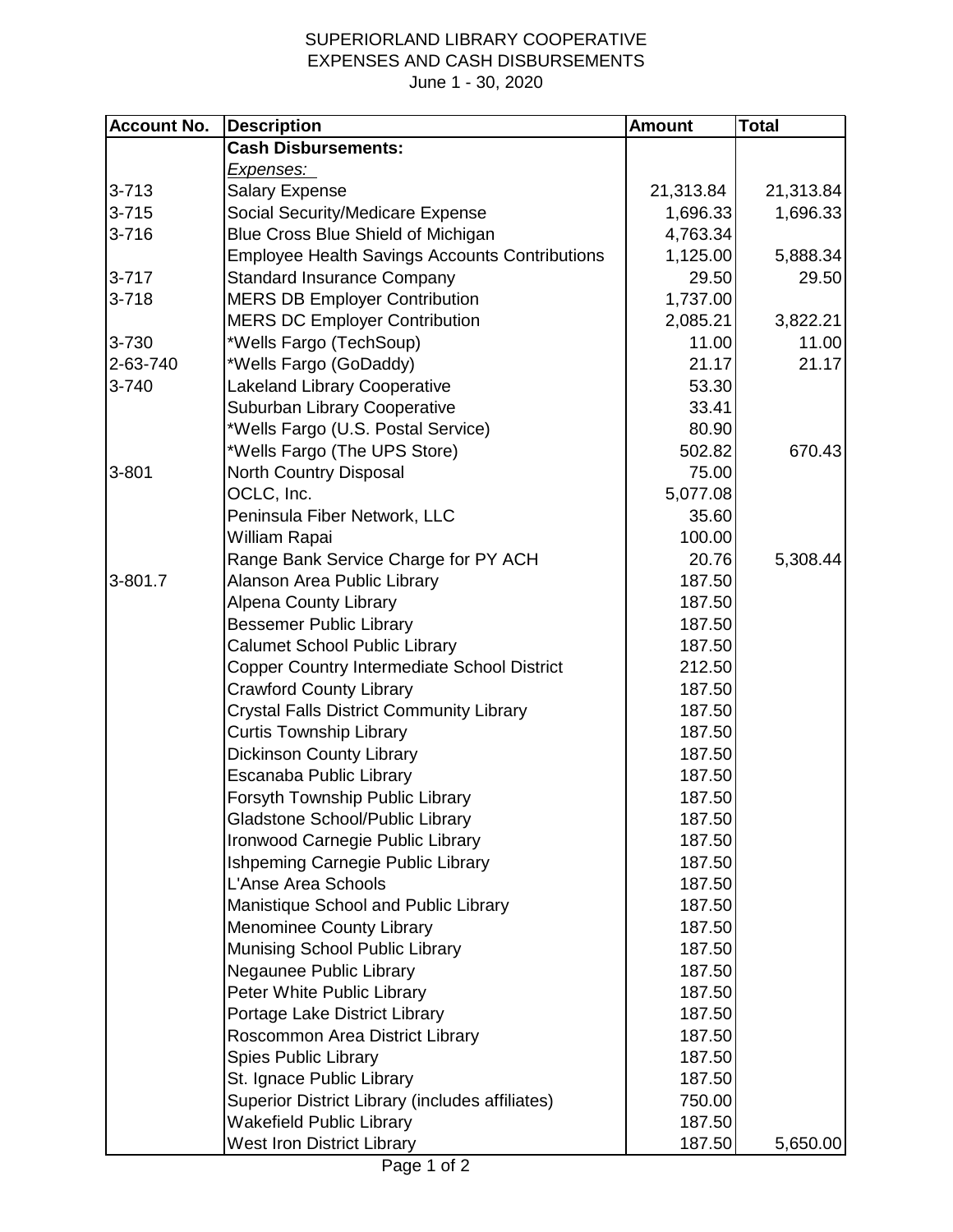## SUPERIORLAND LIBRARY COOPERATIVE EXPENSES AND CASH DISBURSEMENTS June 1 - 30, 2020

| <b>Account No.</b> | <b>Description</b>                                    | <b>Amount</b> | <b>Total</b> |
|--------------------|-------------------------------------------------------|---------------|--------------|
|                    | <b>Cash Disbursements:</b>                            |               |              |
|                    | <u>Expenses:</u>                                      |               |              |
| $3 - 713$          | <b>Salary Expense</b>                                 | 21,313.84     | 21,313.84    |
| $3 - 715$          | Social Security/Medicare Expense                      | 1,696.33      | 1,696.33     |
| $3 - 716$          | Blue Cross Blue Shield of Michigan                    | 4,763.34      |              |
|                    | <b>Employee Health Savings Accounts Contributions</b> | 1,125.00      | 5,888.34     |
| $3 - 717$          | <b>Standard Insurance Company</b>                     | 29.50         | 29.50        |
| $3 - 718$          | <b>MERS DB Employer Contribution</b>                  | 1,737.00      |              |
|                    | <b>MERS DC Employer Contribution</b>                  | 2,085.21      | 3,822.21     |
| 3-730              | *Wells Fargo (TechSoup)                               | 11.00         | 11.00        |
| 2-63-740           | *Wells Fargo (GoDaddy)                                | 21.17         | 21.17        |
| 3-740              | <b>Lakeland Library Cooperative</b>                   | 53.30         |              |
|                    | Suburban Library Cooperative                          | 33.41         |              |
|                    | *Wells Fargo (U.S. Postal Service)                    | 80.90         |              |
|                    | *Wells Fargo (The UPS Store)                          | 502.82        | 670.43       |
| $3 - 801$          | North Country Disposal                                | 75.00         |              |
|                    | OCLC, Inc.                                            | 5,077.08      |              |
|                    | Peninsula Fiber Network, LLC                          | 35.60         |              |
|                    | William Rapai                                         | 100.00        |              |
|                    | Range Bank Service Charge for PY ACH                  | 20.76         | 5,308.44     |
| 3-801.7            | Alanson Area Public Library                           | 187.50        |              |
|                    | <b>Alpena County Library</b>                          | 187.50        |              |
|                    | <b>Bessemer Public Library</b>                        | 187.50        |              |
|                    | <b>Calumet School Public Library</b>                  | 187.50        |              |
|                    | Copper Country Intermediate School District           | 212.50        |              |
|                    | <b>Crawford County Library</b>                        | 187.50        |              |
|                    | <b>Crystal Falls District Community Library</b>       | 187.50        |              |
|                    | <b>Curtis Township Library</b>                        | 187.50        |              |
|                    | <b>Dickinson County Library</b>                       | 187.50        |              |
|                    | Escanaba Public Library                               | 187.50        |              |
|                    | Forsyth Township Public Library                       | 187.50        |              |
|                    | Gladstone School/Public Library                       | 187.50        |              |
|                    | Ironwood Carnegie Public Library                      | 187.50        |              |
|                    | Ishpeming Carnegie Public Library                     | 187.50        |              |
|                    | L'Anse Area Schools                                   | 187.50        |              |
|                    | Manistique School and Public Library                  | 187.50        |              |
|                    | <b>Menominee County Library</b>                       | 187.50        |              |
|                    | Munising School Public Library                        | 187.50        |              |
|                    | Negaunee Public Library                               | 187.50        |              |
|                    | Peter White Public Library                            | 187.50        |              |
|                    | Portage Lake District Library                         | 187.50        |              |
|                    | Roscommon Area District Library                       | 187.50        |              |
|                    | <b>Spies Public Library</b>                           | 187.50        |              |
|                    | St. Ignace Public Library                             | 187.50        |              |
|                    | Superior District Library (includes affiliates)       | 750.00        |              |
|                    | <b>Wakefield Public Library</b>                       | 187.50        |              |
|                    | <b>West Iron District Library</b>                     | 187.50        | 5,650.00     |